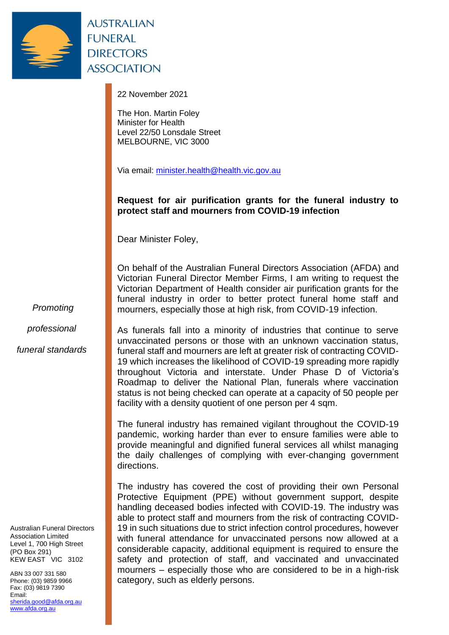

**AUSTRALIAN FUNERAL DIRECTORS ASSOCIATION** 

22 November 2021

The Hon. Martin Foley Minister for Health Level 22/50 Lonsdale Street MELBOURNE, VIC 3000

Via email: [minister.health@health.vic.gov.au](mailto:minister.health@health.vic.gov.au)

## **Request for air purification grants for the funeral industry to protect staff and mourners from COVID-19 infection**

Dear Minister Foley,

On behalf of the Australian Funeral Directors Association (AFDA) and Victorian Funeral Director Member Firms, I am writing to request the Victorian Department of Health consider air purification grants for the funeral industry in order to better protect funeral home staff and mourners, especially those at high risk, from COVID-19 infection.

*Promoting*

*professional*

*funeral standards*

Australian Funeral Directors Association Limited Level 1, 700 High Street (PO Box 291) KEW EAST VIC 3102

ABN 33 007 331 580 Phone: (03) 9859 9966 Fax: (03) 9819 7390 Email: [sherida.good@afda.org.au](mailto:sherida.good@afda.org.au) [www.afda.org.au](http://www.afda.org.au/)

As funerals fall into a minority of industries that continue to serve unvaccinated persons or those with an unknown vaccination status, funeral staff and mourners are left at greater risk of contracting COVID-19 which increases the likelihood of COVID-19 spreading more rapidly throughout Victoria and interstate. Under Phase D of Victoria's Roadmap to deliver the National Plan, funerals where vaccination status is not being checked can operate at a capacity of 50 people per facility with a density quotient of one person per 4 sqm.

The funeral industry has remained vigilant throughout the COVID-19 pandemic, working harder than ever to ensure families were able to provide meaningful and dignified funeral services all whilst managing the daily challenges of complying with ever-changing government directions.

The industry has covered the cost of providing their own Personal Protective Equipment (PPE) without government support, despite handling deceased bodies infected with COVID-19. The industry was able to protect staff and mourners from the risk of contracting COVID-19 in such situations due to strict infection control procedures, however with funeral attendance for unvaccinated persons now allowed at a considerable capacity, additional equipment is required to ensure the safety and protection of staff, and vaccinated and unvaccinated mourners – especially those who are considered to be in a high-risk category, such as elderly persons.